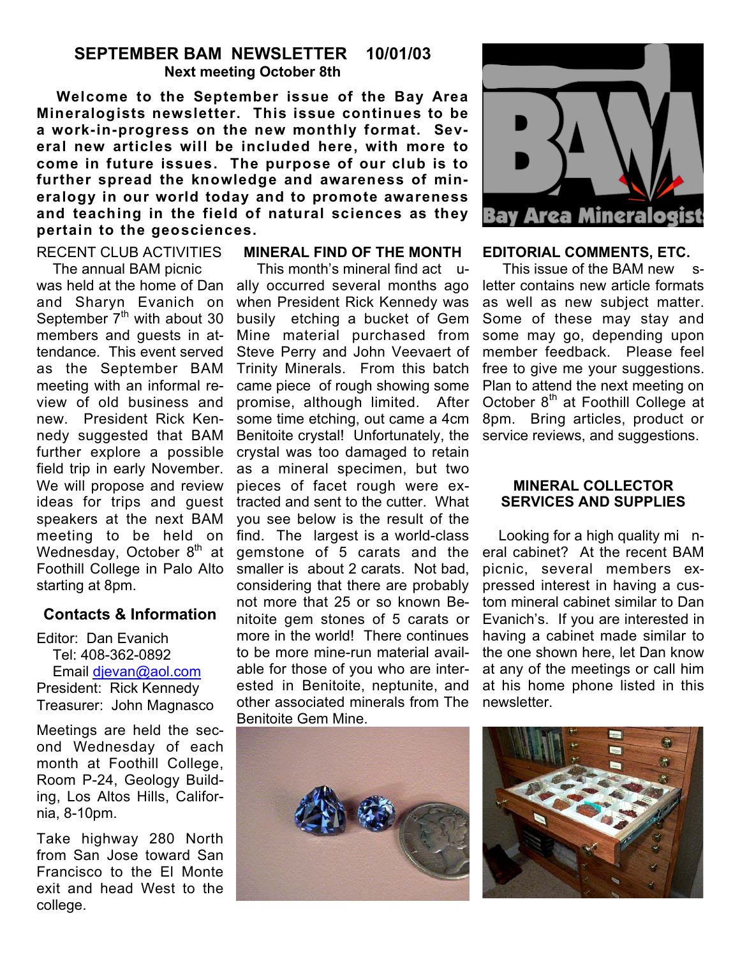# **SEPTEMBER BAM NEWSLETTER 10/01/03 Next meeting October 8th**

**Welcome to the September issue of the Bay Area** Mineralogists newsletter. This issue continues to be a work-in-progress on the new monthly format. Several new articles will be included here, with more to come in future issues. The purpose of our club is to further spread the knowledge and awareness of mineralogy in our world today and to promote awareness and teaching in the field of natural sciences as they pertain to the geosciences.

#### RECENT CLUB ACTIVITIES

 The annual BAM picnic was held at the home of Dan and Sharyn Evanich on September  $7<sup>th</sup>$  with about 30 members and guests in attendance. This event served as the September BAM meeting with an informal review of old business and new. President Rick Kennedy suggested that BAM further explore a possible field trip in early November. We will propose and review ideas for trips and guest speakers at the next BAM meeting to be held on Wednesday, October  $8<sup>th</sup>$  at Foothill College in Palo Alto starting at 8pm.

### **Contacts & Information**

Editor: Dan Evanich Tel: 408-362-0892 Email djevan@aol.com President: Rick Kennedy Treasurer: John Magnasco

Meetings are held the second Wednesday of each month at Foothill College, Room P-24, Geology Building, Los Altos Hills, California, 8-10pm.

Take highway 280 North from San Jose toward San Francisco to the El Monte exit and head West to the college.

#### **MINERAL FIND OF THE MONTH**

 This month's mineral find act ually occurred several months ago when President Rick Kennedy was busily etching a bucket of Gem Mine material purchased from Steve Perry and John Veevaert of Trinity Minerals. From this batch came piece of rough showing some promise, although limited. After some time etching, out came a 4cm Benitoite crystal! Unfortunately, the crystal was too damaged to retain as a mineral specimen, but two pieces of facet rough were extracted and sent to the cutter. What you see below is the result of the find. The largest is a world-class gemstone of 5 carats and the smaller is about 2 carats. Not bad, considering that there are probably not more that 25 or so known Benitoite gem stones of 5 carats or more in the world! There continues to be more mine-run material available for those of you who are interested in Benitoite, neptunite, and other associated minerals from The Benitoite Gem Mine.



#### **EDITORIAL COMMENTS, ETC.**

This issue of the BAM new sletter contains new article formats as well as new subject matter. Some of these may stay and some may go, depending upon member feedback. Please feel free to give me your suggestions. Plan to attend the next meeting on October 8<sup>th</sup> at Foothill College at 8pm. Bring articles, product or service reviews, and suggestions.

## **MINERAL COLLECTOR SERVICES AND SUPPLIES**

 Looking for a high quality mi neral cabinet? At the recent BAM picnic, several members expressed interest in having a custom mineral cabinet similar to Dan Evanich's. If you are interested in having a cabinet made similar to the one shown here, let Dan know at any of the meetings or call him at his home phone listed in this newsletter.



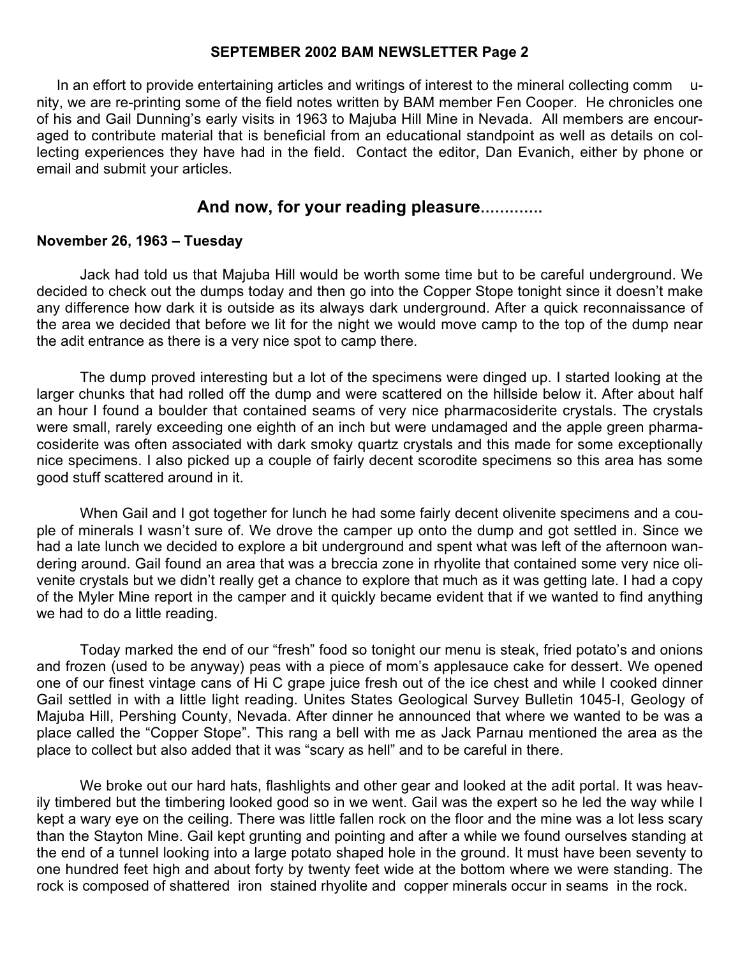#### **SEPTEMBER 2002 BAM NEWSLETTER Page 2**

In an effort to provide entertaining articles and writings of interest to the mineral collecting comm unity, we are re-printing some of the field notes written by BAM member Fen Cooper. He chronicles one of his and Gail Dunning's early visits in 1963 to Majuba Hill Mine in Nevada. All members are encouraged to contribute material that is beneficial from an educational standpoint as well as details on collecting experiences they have had in the field. Contact the editor, Dan Evanich, either by phone or email and submit your articles.

## **And now, for your reading pleasure………….**

#### **November 26, 1963 – Tuesday**

Jack had told us that Majuba Hill would be worth some time but to be careful underground. We decided to check out the dumps today and then go into the Copper Stope tonight since it doesn't make any difference how dark it is outside as its always dark underground. After a quick reconnaissance of the area we decided that before we lit for the night we would move camp to the top of the dump near the adit entrance as there is a very nice spot to camp there.

The dump proved interesting but a lot of the specimens were dinged up. I started looking at the larger chunks that had rolled off the dump and were scattered on the hillside below it. After about half an hour I found a boulder that contained seams of very nice pharmacosiderite crystals. The crystals were small, rarely exceeding one eighth of an inch but were undamaged and the apple green pharmacosiderite was often associated with dark smoky quartz crystals and this made for some exceptionally nice specimens. I also picked up a couple of fairly decent scorodite specimens so this area has some good stuff scattered around in it.

When Gail and I got together for lunch he had some fairly decent olivenite specimens and a couple of minerals I wasn't sure of. We drove the camper up onto the dump and got settled in. Since we had a late lunch we decided to explore a bit underground and spent what was left of the afternoon wandering around. Gail found an area that was a breccia zone in rhyolite that contained some very nice olivenite crystals but we didn't really get a chance to explore that much as it was getting late. I had a copy of the Myler Mine report in the camper and it quickly became evident that if we wanted to find anything we had to do a little reading.

Today marked the end of our "fresh" food so tonight our menu is steak, fried potato's and onions and frozen (used to be anyway) peas with a piece of mom's applesauce cake for dessert. We opened one of our finest vintage cans of Hi C grape juice fresh out of the ice chest and while I cooked dinner Gail settled in with a little light reading. Unites States Geological Survey Bulletin 1045-I, Geology of Majuba Hill, Pershing County, Nevada. After dinner he announced that where we wanted to be was a place called the "Copper Stope". This rang a bell with me as Jack Parnau mentioned the area as the place to collect but also added that it was "scary as hell" and to be careful in there.

We broke out our hard hats, flashlights and other gear and looked at the adit portal. It was heavily timbered but the timbering looked good so in we went. Gail was the expert so he led the way while I kept a wary eye on the ceiling. There was little fallen rock on the floor and the mine was a lot less scary than the Stayton Mine. Gail kept grunting and pointing and after a while we found ourselves standing at the end of a tunnel looking into a large potato shaped hole in the ground. It must have been seventy to one hundred feet high and about forty by twenty feet wide at the bottom where we were standing. The rock is composed of shattered iron stained rhyolite and copper minerals occur in seams in the rock.